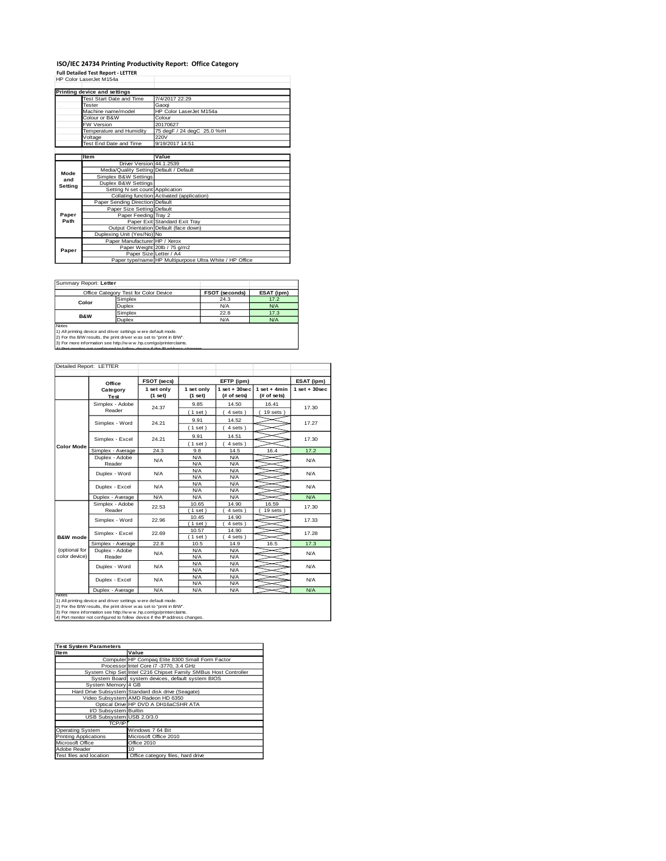## **ISO/IEC 24734 Printing Productivity Report: Office Category Full Detailed Test Report - LETTER** HP Color LaserJet M154a

|         | Printing device and settings            |                                                         |
|---------|-----------------------------------------|---------------------------------------------------------|
|         | Test Start Date and Time                | 7/4/2017 22:29                                          |
|         | <b>Tester</b>                           | Gaoqi                                                   |
|         | Machine name/model                      | HP Color LaserJet M154a                                 |
|         | Colour or B&W                           | Colour                                                  |
|         | <b>FW Version</b>                       | 20170627                                                |
|         | Temperature and Humidity                | 75 degF / 24 degC 25.0 %rH                              |
|         | Voltage                                 | 220V                                                    |
|         | Test End Date and Time                  | 9/19/2017 14:51                                         |
|         |                                         |                                                         |
|         | <b>Item</b>                             | Value                                                   |
|         | Driver Version 44.1.2539                |                                                         |
| Mode    | Media/Quality Setting Default / Default |                                                         |
| and     | Simplex B&W Settings                    |                                                         |
| Setting | Duplex B&W Settings                     |                                                         |
|         | Setting N set count Application         |                                                         |
|         |                                         | Collating function Activated (application)              |
|         | Paper Sending Direction Default         |                                                         |
|         | Paper Size Setting Default              |                                                         |
| Paper   | Paper Feeding Tray 2                    |                                                         |
| Path    |                                         | Paper Exit Standard Exit Tray                           |
|         |                                         | Output Orientation Default (face down)                  |
|         | Duplexing Unit (Yes/No) No              |                                                         |
|         | Paper Manufacturer HP / Xerox           |                                                         |
| Paper   |                                         | Paper Weight 20lb / 75 g/m2                             |
|         | Paper Size Letter / A4                  |                                                         |
|         |                                         | Paper type/name HP Multipurpose Ultra White / HP Office |

Ī.

Summary Report: **Letter**

|                                                                                                                                                                                                                                                                                                       | Office Category Test for Color Device | FSOT (seconds) | ESAT (ipm) |  |  |
|-------------------------------------------------------------------------------------------------------------------------------------------------------------------------------------------------------------------------------------------------------------------------------------------------------|---------------------------------------|----------------|------------|--|--|
| Color                                                                                                                                                                                                                                                                                                 | Simplex                               | 24.3           | 17.2       |  |  |
|                                                                                                                                                                                                                                                                                                       | Duplex                                | N/A            | N/A        |  |  |
| <b>B&amp;W</b>                                                                                                                                                                                                                                                                                        | Simplex                               | 22.8           | 17.3       |  |  |
|                                                                                                                                                                                                                                                                                                       | <b>Duplex</b>                         | N/A            | N/A        |  |  |
| <b>Notes</b><br>1) All printing device and driver settings w ere default mode.<br>2) For the B/W results, the print driver was set to "print in B/W".<br>3) For more information see http://www.hp.com/go/printerclaims.<br>4) Dort monitor not configured to follow device if the ID address changes |                                       |                |            |  |  |

| Detailed Report: LETTER        |                           |                       |                       |                                |                               |                 |
|--------------------------------|---------------------------|-----------------------|-----------------------|--------------------------------|-------------------------------|-----------------|
|                                | Office                    | <b>FSOT (secs)</b>    |                       | EFTP (ipm)                     |                               | ESAT (ipm)      |
|                                | Category<br>Test          | 1 set only<br>(1 set) | 1 set only<br>(1 set) | $1$ set + 30sec<br>(# of sets) | $1$ set + 4min<br>(# of sets) | $1$ set + 30sec |
|                                | Simplex - Adobe<br>Reader | 24.37                 | 9.85<br>(1 set)       | 14.50<br>4 sets)               | 16.41<br>19 sets              | 17.30           |
|                                | Simplex - Word            | 24.21                 | 9.91<br>(1 set)       | 14.52<br>4 sets)               |                               | 17.27           |
|                                | Simplex - Excel           | 24.21                 | 9.91<br>(1 set)       | 14.51<br>4 sets)               |                               | 17.30           |
| Color Mode                     | Simplex - Average         | 24.3                  | 9.8                   | 14.5                           | 16.4                          | 17.2            |
|                                | Duplex - Adobe<br>Reader  | N/A                   | N/A<br>N/A            | N/A<br>N/A                     |                               | N/A             |
|                                | Duplex - Word             | N/A                   | N/A<br>N/A            | N/A<br>N/A                     |                               | N/A             |
|                                | Duplex - Excel            | N/A                   | N/A<br>N/A            | N/A<br>N/A                     |                               | N/A             |
|                                | Duplex - Average          | N/A                   | N/A                   | N/A                            |                               | N/A             |
|                                | Simplex - Adobe<br>Reader | 22.53                 | 10.65<br>$1$ set      | 14.90<br>4 sets                | 16.59<br>19 sets              | 17.30           |
|                                | Simplex - Word            | 22.96                 | 10.45<br>$1$ set)     | 14.90<br>4 sets)               |                               | 17.33           |
| <b>B&amp;W</b> mode            | Simplex - Excel           | 22.69                 | 10.57<br>$1$ set)     | 14.90<br>4 sets)               |                               | 17.28           |
|                                | Simplex - Average         | 22.8                  | 10.5                  | 14.9                           | 16.5                          | 17.3            |
| (optional for<br>color device) | Duplex - Adobe<br>Reader  | N/A                   | N/A<br>N/A            | N/A<br>N/A                     |                               | N/A             |
|                                | Duplex - Word             | N/A                   | N/A<br>N/A            | N/A<br>N/A                     |                               | <b>N/A</b>      |
|                                | Duplex - Excel            | N/A                   | N/A<br>N/A            | N/A<br>N/A                     |                               | N/A             |
|                                | Duplex - Average          | N/A                   | N/A                   | N/A                            |                               | N/A             |

Notes<br>1) All printing device and driver settings were default mode.<br>2) For the B/W results, the print driver was set to "print in B/W".<br>3) For more information see http://w ww.hp.com/go/printerclaims.<br>4) Por monitor not co

| <b>Test System Parameters</b> |                                                                 |  |  |  |
|-------------------------------|-----------------------------------------------------------------|--|--|--|
| <b>Item</b>                   | Value                                                           |  |  |  |
|                               | Computer HP Compaq Elite 8300 Small Form Factor                 |  |  |  |
|                               | Processor Intel Core i7 -3770, 3.4 GHz                          |  |  |  |
|                               | System Chip Set Intel C216 Chipset Family SMBus Host Controller |  |  |  |
|                               | System Board system devices, default system BIOS                |  |  |  |
| System Memory 4 GB            |                                                                 |  |  |  |
|                               | Hard Drive Subsystem Standard disk drive (Seagate)              |  |  |  |
|                               | Video Subsystem AMD Radeon HD 6350                              |  |  |  |
|                               | Optical Drive HP DVD A DH16aCSHR ATA                            |  |  |  |
| I/O Subsystem Builtin         |                                                                 |  |  |  |
| USB Subsystem USB 2.0/3.0     |                                                                 |  |  |  |
| TCP/IP                        |                                                                 |  |  |  |
| <b>Operating System</b>       | Windows 7 64 Bit                                                |  |  |  |
| <b>Printing Applications</b>  | Microsoft Office 2010                                           |  |  |  |
| Microsoft Office              | Office 2010                                                     |  |  |  |
| Adobe Reader                  | 10                                                              |  |  |  |
| Test files and location       | Office category files, hard drive                               |  |  |  |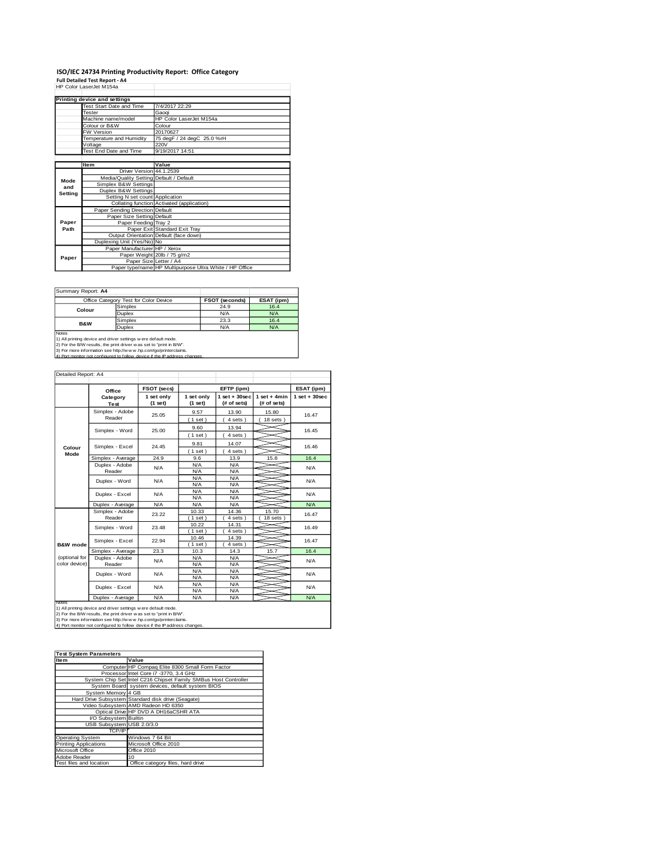# **ISO/IEC 24734 Printing Productivity Report: Office Category<br>Full Detailed Test Report - A4<br>HP Color LaserJet M154a**

|         | HP Color LaserJet M154a                 |                                                         |
|---------|-----------------------------------------|---------------------------------------------------------|
|         |                                         |                                                         |
|         | Printing device and settings            |                                                         |
|         | Test Start Date and Time                | 7/4/2017 22:29                                          |
|         | Tester                                  | Gaogi                                                   |
|         | Machine name/model                      | HP Color LaserJet M154a                                 |
|         | Colour or B&W                           | Colour                                                  |
|         | <b>FW Version</b>                       | 20170627                                                |
|         | Temperature and Humidity                | 75 degF / 24 degC 25.0 %rH                              |
|         | Voltage                                 | 220V                                                    |
|         | Test End Date and Time                  | 9/19/2017 14:51                                         |
|         |                                         |                                                         |
|         | <b>Item</b>                             | Value                                                   |
|         | Driver Version 44.1.2539                |                                                         |
| Mode    | Media/Quality Setting Default / Default |                                                         |
| and     | Simplex B&W Settings                    |                                                         |
| Setting | Duplex B&W Settings                     |                                                         |
|         | Setting N set count Application         |                                                         |
|         |                                         | Collating function Activated (application)              |
|         | Paper Sending Direction Default         |                                                         |
|         | Paper Size Setting Default              |                                                         |
| Paper   | Paper Feeding Tray 2                    |                                                         |
| Path    |                                         | Paper Exit Standard Exit Tray                           |
|         |                                         | Output Orientation Default (face down)                  |
|         | Duplexing Unit (Yes/No) No              |                                                         |
|         | Paper Manufacturer HP / Xerox           |                                                         |
| Paper   |                                         | Paper Weight 20lb / 75 g/m2                             |
|         |                                         | Paper Size Letter / A4                                  |
|         |                                         | Paper type/name HP Multipurpose Ultra White / HP Office |

Summary Report: **A4**

| Office Category Test for Color Device                               |                                                                             | FSOT (seconds) | ESAT (ipm) |  |  |  |  |
|---------------------------------------------------------------------|-----------------------------------------------------------------------------|----------------|------------|--|--|--|--|
| Colour                                                              | Simplex                                                                     | 24.9           | 16.4       |  |  |  |  |
|                                                                     | Duplex                                                                      | N/A            | N/A        |  |  |  |  |
| <b>B&amp;W</b>                                                      | Simplex                                                                     | 23.3           | 16.4       |  |  |  |  |
|                                                                     | Duplex                                                                      | N/A            | N/A        |  |  |  |  |
| <b>Notes</b>                                                        |                                                                             |                |            |  |  |  |  |
|                                                                     | 1) All printing device and driver settings w ere default mode.              |                |            |  |  |  |  |
| 2) For the B/W results, the print driver was set to "print in B/W". |                                                                             |                |            |  |  |  |  |
|                                                                     | 3) For more information see http://www.hp.com/go/printerclaims.             |                |            |  |  |  |  |
|                                                                     | 4) Port monitor not configured to follow, device if the IP address changes. |                |            |  |  |  |  |

| Detailed Report: A4            |                           |                       |                       |                                |                               |                 |
|--------------------------------|---------------------------|-----------------------|-----------------------|--------------------------------|-------------------------------|-----------------|
|                                | Office                    | FSOT (secs)           |                       | ESAT (ipm)                     |                               |                 |
|                                | Category<br>Test          | 1 set only<br>(1 set) | 1 set only<br>(1 set) | $1$ set + 30sec<br>(# of sets) | $1$ set + 4min<br>(# of sets) | $1$ set + 30sec |
|                                | Simplex - Adobe<br>Reader | 25.05                 | 9.57<br>(1 set)       | 13.90<br>$4 sets$ )            | 15.80<br>$18$ sets $)$        | 16.47           |
|                                | Simplex - Word            | 25.00                 | 9.60<br>(1 set)       | 13.94<br>4 sets)               |                               | 16.45           |
| Colour                         | Simplex - Excel           | 24.45                 | 9.81<br>(1 set)       | 14.07<br>4 sets)               |                               | 16.46           |
| Mode                           | Simplex - Average         | 24.9                  | 9.6                   | 13.9                           | 15.8                          | 16.4            |
|                                | Duplex - Adobe<br>Reader  | N/A                   | N/A<br>N/A            | N/A<br>N/A                     |                               | N/A             |
|                                | Duplex - Word             | N/A                   | N/A<br>N/A            | N/A<br>N/A                     |                               | N/A             |
|                                | Duplex - Excel            | N/A                   | N/A<br>N/A            | N/A<br>N/A                     |                               | N/A             |
|                                | Duplex - Average          | N/A                   | N/A                   | N/A                            |                               | N/A             |
|                                | Simplex - Adobe<br>Reader | 23.22                 | 10.33<br>(1 set)      | 14.36<br>4 sets )              | 15.70<br>$18$ sets $)$        | 16.47           |
|                                | Simplex - Word            | 23.48                 | 10.22<br>(1 set)      | 14.31<br>$4 sets$ )            |                               | 16.49           |
| <b>B&amp;W</b> mode            | Simplex - Excel           | 22.94                 | 10.46<br>(1 set)      | 14.39<br>4 sets)               |                               | 16.47           |
|                                | Simplex - Average         | 23.3                  | 10.3                  | 14.3                           | 15.7                          | 16.4            |
| (optional for<br>color device) | Duplex - Adobe<br>Reader  | N/A                   | N/A<br>N/A            | N/A<br>N/A                     |                               | N/A             |
|                                | Duplex - Word             | N/A                   | N/A<br>N/A            | N/A<br>N/A                     |                               | N/A             |
|                                | Duplex - Excel            | N/A                   | N/A<br>N/A            | N/A<br>N/A                     |                               | N/A             |
| Notes                          | Duplex - Average          | N/A                   | N/A                   | N/A                            |                               | N/A             |

Notes<br>1) All printing device and driver settings were default mode.<br>2) For the B/W results, the print driver was set to "print in B/W".<br>3) For more information see http://www.hp.com/go/printerclaims.<br>4) Por monitor not con

| <b>Test System Parameters</b> |                                                                 |
|-------------------------------|-----------------------------------------------------------------|
| Item                          | Value                                                           |
|                               | Computer HP Compaq Elite 8300 Small Form Factor                 |
|                               | Processor Intel Core i7 -3770, 3.4 GHz                          |
|                               | System Chip Set Intel C216 Chipset Family SMBus Host Controller |
|                               | System Board system devices, default system BIOS                |
| System Memory 4 GB            |                                                                 |
|                               | Hard Drive Subsystem Standard disk drive (Seagate)              |
|                               | Video Subsystem AMD Radeon HD 6350                              |
|                               | Optical Drive HP DVD A DH16aCSHR ATA                            |
| I/O Subsystem Builtin         |                                                                 |
| USB Subsystem USB 2.0/3.0     |                                                                 |
| <b>TCP/IP</b>                 |                                                                 |
| <b>Operating System</b>       | Windows 7 64 Bit                                                |
| <b>Printing Applications</b>  | Microsoft Office 2010                                           |
| Microsoft Office              | Office 2010                                                     |
| Adobe Reader                  | 10                                                              |
| Test files and location       | Office category files, hard drive                               |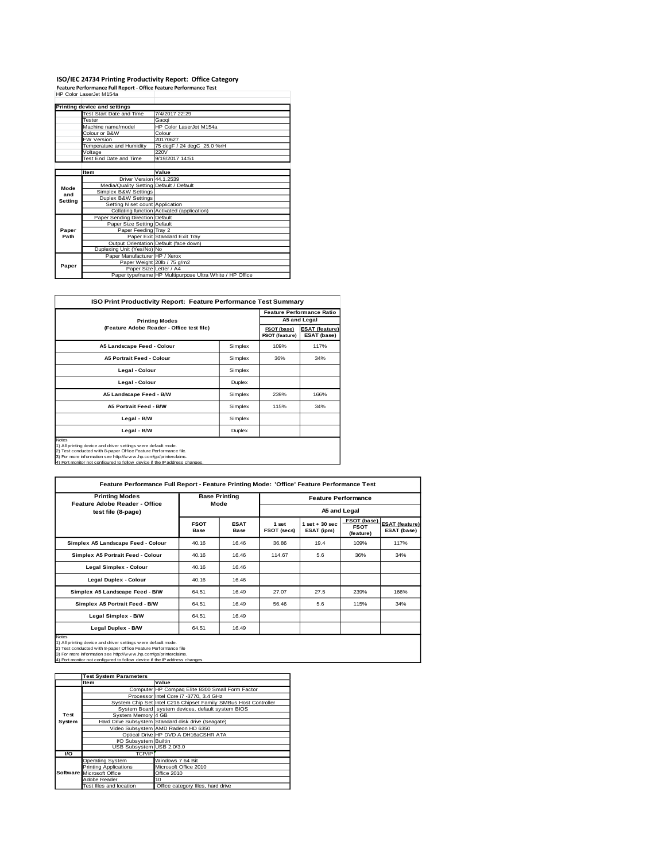### **ISO/IEC 24734 Printing Productivity Report: Office Category Feature Performance Full Report - Office Feature Performance Test** HP Color LaserJet M154a

|         | Printing device and settings            |                                                         |
|---------|-----------------------------------------|---------------------------------------------------------|
|         | Test Start Date and Time                | 7/4/2017 22:29                                          |
|         | Tester                                  | Gaogi                                                   |
|         | Machine name/model                      | HP Color LaserJet M154a                                 |
|         | Colour or B&W                           | Colour                                                  |
|         | <b>FW Version</b>                       | 20170627                                                |
|         | Temperature and Humidity                | 75 degF / 24 degC 25.0 %rH                              |
|         | Voltage                                 | 220V                                                    |
|         | Test End Date and Time                  | 9/19/2017 14:51                                         |
|         |                                         |                                                         |
|         | <b>Item</b>                             | Value                                                   |
|         | Driver Version 44.1.2539                |                                                         |
| Mode    | Media/Quality Setting Default / Default |                                                         |
| and     | Simplex B&W Settings                    |                                                         |
| Setting | Duplex B&W Settings                     |                                                         |
|         | Setting N set count Application         |                                                         |
|         |                                         | Collating function Activated (application)              |
|         | Paper Sending Direction Default         |                                                         |
|         | Paper Size Setting Default              |                                                         |
| Paper   | Paper Feeding Tray 2                    |                                                         |
| Path    |                                         | Paper Exit Standard Exit Tray                           |
|         |                                         | Output Orientation Default (face down)                  |
|         | Duplexing Unit (Yes/No) No              |                                                         |
|         | Paper Manufacturer HP / Xerox           |                                                         |
| Paper   |                                         | Paper Weight 20lb / 75 g/m2                             |
|         | Paper Size Letter / A4                  |                                                         |
|         |                                         | Paper type/name HP Multipurpose Ultra White / HP Office |

| <b>ISO Print Productivity Report: Feature Performance Test Summary</b>                                                                                                                                                                                                                         |               |      |                                  |  |  |  |
|------------------------------------------------------------------------------------------------------------------------------------------------------------------------------------------------------------------------------------------------------------------------------------------------|---------------|------|----------------------------------|--|--|--|
|                                                                                                                                                                                                                                                                                                |               |      | <b>Feature Performance Ratio</b> |  |  |  |
| <b>Printing Modes</b>                                                                                                                                                                                                                                                                          |               |      | A5 and Legal                     |  |  |  |
| (Feature Adobe Reader - Office test file)                                                                                                                                                                                                                                                      |               |      |                                  |  |  |  |
| A5 Landscape Feed - Colour                                                                                                                                                                                                                                                                     | Simplex       | 109% | 117%                             |  |  |  |
| <b>A5 Portrait Feed - Colour</b>                                                                                                                                                                                                                                                               | Simplex       | 36%  | 34%                              |  |  |  |
| Legal - Colour                                                                                                                                                                                                                                                                                 | Simplex       |      |                                  |  |  |  |
| Legal - Colour                                                                                                                                                                                                                                                                                 | <b>Duplex</b> |      |                                  |  |  |  |
| A5 Landscape Feed - B/W                                                                                                                                                                                                                                                                        | Simplex       | 239% | 166%                             |  |  |  |
| <b>A5 Portrait Feed - B/W</b>                                                                                                                                                                                                                                                                  | Simplex       | 115% | 34%                              |  |  |  |
| Legal - B/W                                                                                                                                                                                                                                                                                    | Simplex       |      |                                  |  |  |  |
| Legal - B/W                                                                                                                                                                                                                                                                                    | <b>Duplex</b> |      |                                  |  |  |  |
| Notes<br>1) All printing device and driver settings w ere default mode.<br>2) Test conducted w ith 8-paper Office Feature Performance file.<br>3) For more information see http://w w w .hp.com/go/printerclaims.<br>4) Port monitor not configured to follow device if the IP address changes |               |      |                                  |  |  |  |

| <b>Printing Modes</b><br>Feature Adobe Reader - Office | <b>Base Printing</b><br>Mode |                     | <b>Feature Performance</b><br>A5 and Legal |                                 |                                         |                                      |
|--------------------------------------------------------|------------------------------|---------------------|--------------------------------------------|---------------------------------|-----------------------------------------|--------------------------------------|
| test file (8-page)                                     | <b>FSOT</b><br>Base          | <b>ESAT</b><br>Base | 1 set<br>FSOT (secs)                       | $1$ set $+30$ sec<br>ESAT (ipm) | FSOT (base)<br><b>FSOT</b><br>(feature) | <b>ESAT (feature)</b><br>ESAT (base) |
| Simplex A5 Landscape Feed - Colour                     | 40.16                        | 16.46               | 36.86                                      | 19.4                            | 109%                                    | 117%                                 |
| Simplex A5 Portrait Feed - Colour                      | 40.16                        | 16.46               | 114.67                                     | 5.6                             | 36%                                     | 34%                                  |
| Legal Simplex - Colour                                 | 40.16                        | 16.46               |                                            |                                 |                                         |                                      |
| Legal Duplex - Colour                                  | 40.16                        | 16.46               |                                            |                                 |                                         |                                      |
| Simplex A5 Landscape Feed - B/W                        | 64.51                        | 16.49               | 27.07                                      | 27.5                            | 239%                                    | 166%                                 |
| Simplex A5 Portrait Feed - B/W                         | 64.51                        | 16.49               | 56.46                                      | 5.6                             | 115%                                    | 34%                                  |
| Legal Simplex - B/W                                    | 64.51                        | 16.49               |                                            |                                 |                                         |                                      |
| Legal Duplex - B/W                                     | 64.51                        | 16.49               |                                            |                                 |                                         |                                      |

|        | <b>Test System Parameters</b> |                                                                 |
|--------|-------------------------------|-----------------------------------------------------------------|
|        | <b>Item</b>                   | Value                                                           |
|        |                               | Computer HP Compaq Elite 8300 Small Form Factor                 |
|        |                               | Processor Intel Core i7 -3770, 3.4 GHz                          |
|        |                               | System Chip Set Intel C216 Chipset Family SMBus Host Controller |
|        |                               | System Board system devices, default system BIOS                |
| Test   | System Memory 4 GB            |                                                                 |
| System |                               | Hard Drive Subsystem Standard disk drive (Seagate)              |
|        |                               | Video Subsystem AMD Radeon HD 6350                              |
|        |                               | Optical Drive HP DVD A DH16aCSHR ATA                            |
|        | I/O Subsystem Builtin         |                                                                 |
|        | USB Subsystem USB 2.0/3.0     |                                                                 |
| VO     | TCP/IP                        |                                                                 |
|        | <b>Operating System</b>       | Windows 7 64 Bit                                                |
|        | <b>Printing Applications</b>  | Microsoft Office 2010                                           |
|        | Software Microsoft Office     | Office 2010                                                     |
|        | Adobe Reader                  | 10                                                              |
|        | Test files and location       | Office category files, hard drive                               |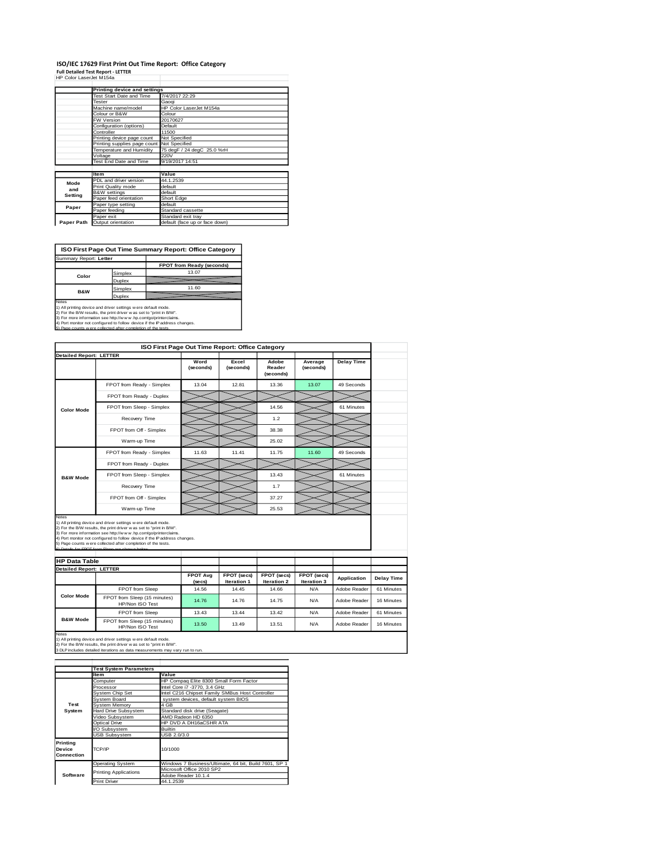### **ISO/IEC 17629 First Print Out Time Report: Office Category Full Detailed Test Report - LETTER** HP Color LaserJet M154a

|            | Printing device and settings               |                                |  |  |  |  |
|------------|--------------------------------------------|--------------------------------|--|--|--|--|
|            | Test Start Date and Time                   | 7/4/2017 22:29                 |  |  |  |  |
|            | Tester                                     | Gaogi                          |  |  |  |  |
|            | Machine name/model                         | HP Color LaserJet M154a        |  |  |  |  |
|            | Colour or B&W                              | Colour                         |  |  |  |  |
|            | FW Version                                 | 20170627                       |  |  |  |  |
|            | Configuration (options)                    | Default                        |  |  |  |  |
|            | Controller                                 | 11500                          |  |  |  |  |
|            | Printing device page count                 | Not Specified                  |  |  |  |  |
|            | Printing supplies page count Not Specified |                                |  |  |  |  |
|            | Temperature and Humidity                   | 75 degF / 24 degC 25.0 %rH     |  |  |  |  |
|            | Voltage                                    | 220V                           |  |  |  |  |
|            | Test End Date and Time                     | 9/19/2017 14:51                |  |  |  |  |
|            |                                            |                                |  |  |  |  |
|            | <b>Item</b>                                | Value                          |  |  |  |  |
| Mode       | PDL and driver version                     | 44.1.2539                      |  |  |  |  |
| and        | Print Quality mode                         | default                        |  |  |  |  |
| Setting    | <b>B&amp;W</b> settings                    | default                        |  |  |  |  |
|            | Paper feed orientation                     | Short Edge                     |  |  |  |  |
| Paper      | Paper type setting                         | default                        |  |  |  |  |
|            | Paper feeding                              | Standard cassette              |  |  |  |  |
|            | Paper exit                                 | Standard exit tray             |  |  |  |  |
| Paper Path | Output orientation                         | default (face up or face down) |  |  |  |  |

**ISO First Page Out Time Summary Report: Office Category**

| FPOT from Ready (seconds)<br>13.07<br>Simplex<br>Color<br>Duplex<br>11.60<br>Simplex |  |
|--------------------------------------------------------------------------------------|--|
|                                                                                      |  |
|                                                                                      |  |
|                                                                                      |  |
|                                                                                      |  |
| <b>B&amp;W</b><br>Duplex                                                             |  |

Notes<br>1) All printing device and driver settings were default mode.<br>2) For the BW results, the print driver was set to "print in BW".<br>3) For more information see http://www.hp.com/gofprinterclaims.<br>4) Port monitor not conf

| (5) Page counts wiere collected atter completion of the tests. |  |
|----------------------------------------------------------------|--|
|                                                                |  |
|                                                                |  |

|                                                        | ISO First Page Out Time Report: Office Category                                                                                                                                                                                                                                                                                                                                                          |                           |                            |                              |                            |                    |                   |
|--------------------------------------------------------|----------------------------------------------------------------------------------------------------------------------------------------------------------------------------------------------------------------------------------------------------------------------------------------------------------------------------------------------------------------------------------------------------------|---------------------------|----------------------------|------------------------------|----------------------------|--------------------|-------------------|
| <b>Detailed Report: LETTER</b>                         |                                                                                                                                                                                                                                                                                                                                                                                                          | Word<br>(seconds)         | Excel<br>(seconds)         | Adobe<br>Reader<br>(seconds) | Average<br>(seconds)       | <b>Delay Time</b>  |                   |
|                                                        | FPOT from Ready - Simplex                                                                                                                                                                                                                                                                                                                                                                                | 13.04                     | 12.81                      | 13.36                        | 13.07                      | 49 Seconds         |                   |
|                                                        |                                                                                                                                                                                                                                                                                                                                                                                                          |                           |                            |                              |                            |                    |                   |
|                                                        | FPOT from Ready - Duplex                                                                                                                                                                                                                                                                                                                                                                                 |                           |                            |                              |                            |                    |                   |
| <b>Color Mode</b>                                      | FPOT from Sleep - Simplex                                                                                                                                                                                                                                                                                                                                                                                |                           |                            | 14.56                        |                            | 61 Minutes         |                   |
|                                                        | Recovery Time                                                                                                                                                                                                                                                                                                                                                                                            |                           |                            | 1.2                          |                            |                    |                   |
|                                                        | FPOT from Off - Simplex                                                                                                                                                                                                                                                                                                                                                                                  |                           |                            | 38.38                        |                            |                    |                   |
|                                                        | Warm-up Time                                                                                                                                                                                                                                                                                                                                                                                             |                           |                            | 25.02                        |                            |                    |                   |
|                                                        | FPOT from Ready - Simplex                                                                                                                                                                                                                                                                                                                                                                                | 11.63                     | 11.41                      | 11.75                        | 11.60                      | 49 Seconds         |                   |
|                                                        | FPOT from Ready - Duplex                                                                                                                                                                                                                                                                                                                                                                                 |                           |                            |                              |                            |                    |                   |
| <b>B&amp;W Mode</b>                                    | FPOT from Sleep - Simplex                                                                                                                                                                                                                                                                                                                                                                                |                           |                            | 13.43                        |                            | 61 Minutes         |                   |
|                                                        | Recovery Time                                                                                                                                                                                                                                                                                                                                                                                            |                           |                            | 1.7                          |                            |                    |                   |
|                                                        |                                                                                                                                                                                                                                                                                                                                                                                                          |                           |                            |                              |                            |                    |                   |
|                                                        | FPOT from Off - Simplex                                                                                                                                                                                                                                                                                                                                                                                  |                           |                            | 37.27                        |                            |                    |                   |
| Notes                                                  | Warm-up Time                                                                                                                                                                                                                                                                                                                                                                                             |                           |                            | 25.53                        |                            |                    |                   |
| <b>HP Data Table</b><br><b>Detailed Report: LETTER</b> | 1) All printing device and driver settings were default mode.<br>2) For the B/W results, the print driver was set to "print in B/W".<br>3) For more information see http://www.hp.com/go/printerclaims.<br>4) Port monitor not configured to follow device if the IP address changes.<br>5) Page counts w ere collected after completion of the tests.<br>6) Details for FROT from Sleep are shown below |                           |                            |                              |                            |                    |                   |
|                                                        |                                                                                                                                                                                                                                                                                                                                                                                                          | <b>FPOT Avg</b><br>(secs) | FPOT (secs)<br>Iteration 1 | FPOT (secs)<br>Iteration 2   | FPOT (secs)<br>Iteration 3 | <b>Application</b> | <b>Delay Time</b> |
|                                                        | FPOT from Sleep                                                                                                                                                                                                                                                                                                                                                                                          | 14.56                     | 14.45                      | 14.66                        | N/A                        | Adobe Reader       | 61 Minutes        |
| <b>Color Mode</b>                                      | FPOT from Sleep (15 minutes)<br>HP/Non ISO Test                                                                                                                                                                                                                                                                                                                                                          | 14.76                     | 14.76                      | 14.75                        | N/A                        | Adobe Reader       | 16 Minutes        |
| <b>B&amp;W Mode</b>                                    | FPOT from Sleep                                                                                                                                                                                                                                                                                                                                                                                          | 13.43                     | 13.44                      | 13.42                        | N/A                        | Adobe Reader       | 61 Minutes        |

1) All printing device and driver settings w ere default mode.<br>2) For the B/W results, the print driver w as set to "print in B/W".<br>3 DLP includes detailed iterations as data measurements may vary run to run.

|                                  | <b>Test System Parameters</b>           |                                                       |  |  |
|----------------------------------|-----------------------------------------|-------------------------------------------------------|--|--|
|                                  | <b>Item</b>                             | Value                                                 |  |  |
|                                  | Computer                                | HP Compaq Elite 8300 Small Form Factor                |  |  |
|                                  | Processor                               | Intel Core i7 -3770, 3.4 GHz                          |  |  |
|                                  | System Chip Set                         | Intel C216 Chipset Family SMBus Host Controller       |  |  |
|                                  | System Board                            | system devices, default system BIOS                   |  |  |
| Test                             | System Memory                           | 4 GB                                                  |  |  |
| System                           | Hard Drive Subsystem                    | Standard disk drive (Seagate)                         |  |  |
|                                  | Video Subsystem                         | AMD Radeon HD 6350                                    |  |  |
|                                  | HP DVD A DH16aCSHR ATA<br>Optical Drive |                                                       |  |  |
|                                  | VO Subsystem                            | <b>Builtin</b>                                        |  |  |
|                                  | <b>USB Subsystem</b>                    | USB 2.0/3.0                                           |  |  |
| Printing<br>Device<br>Connection | TCP/IP                                  | 10/1000                                               |  |  |
|                                  | <b>Operating System</b>                 | Windows 7 Business/Ultimate, 64 bit, Build 7601, SP 1 |  |  |
|                                  | <b>Printing Applications</b>            | Microsoft Office 2010 SP2                             |  |  |
| Software                         |                                         | Adobe Reader 10.1.4                                   |  |  |
|                                  | <b>Print Driver</b>                     | 44.1.2539                                             |  |  |